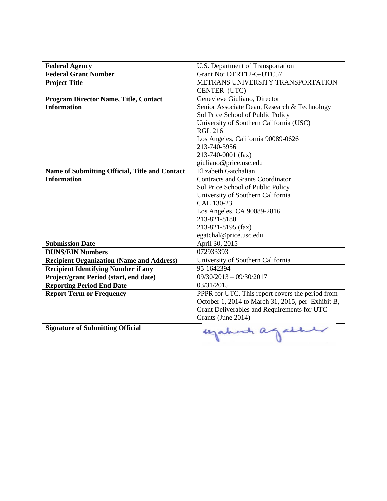| <b>Federal Agency</b>                            | U.S. Department of Transportation                 |
|--------------------------------------------------|---------------------------------------------------|
| <b>Federal Grant Number</b>                      | Grant No: DTRT12-G-UTC57                          |
| <b>Project Title</b>                             | METRANS UNIVERSITY TRANSPORTATION                 |
|                                                  | CENTER (UTC)                                      |
| <b>Program Director Name, Title, Contact</b>     | Genevieve Giuliano, Director                      |
| <b>Information</b>                               | Senior Associate Dean, Research & Technology      |
|                                                  | Sol Price School of Public Policy                 |
|                                                  | University of Southern California (USC)           |
|                                                  | <b>RGL 216</b>                                    |
|                                                  | Los Angeles, California 90089-0626                |
|                                                  | 213-740-3956                                      |
|                                                  | 213-740-0001 (fax)                                |
|                                                  | giuliano@price.usc.edu                            |
| Name of Submitting Official, Title and Contact   | Elizabeth Gatchalian                              |
| <b>Information</b>                               | <b>Contracts and Grants Coordinator</b>           |
|                                                  | Sol Price School of Public Policy                 |
|                                                  | University of Southern California                 |
|                                                  | CAL 130-23                                        |
|                                                  | Los Angeles, CA 90089-2816                        |
|                                                  | 213-821-8180                                      |
|                                                  | 213-821-8195 (fax)                                |
|                                                  | egatchal@price.usc.edu                            |
| <b>Submission Date</b>                           | April 30, 2015                                    |
| <b>DUNS/EIN Numbers</b>                          | 072933393                                         |
| <b>Recipient Organization (Name and Address)</b> | University of Southern California                 |
| <b>Recipient Identifying Number if any</b>       | 95-1642394                                        |
| Project/grant Period (start, end date)           | $09/30/2013 - 09/30/2017$                         |
| <b>Reporting Period End Date</b>                 | 03/31/2015                                        |
| <b>Report Term or Frequency</b>                  | PPPR for UTC. This report covers the period from  |
|                                                  | October 1, 2014 to March 31, 2015, per Exhibit B, |
|                                                  | Grant Deliverables and Requirements for UTC       |
|                                                  | Grants (June 2014)                                |
| <b>Signature of Submitting Official</b>          | egabet again                                      |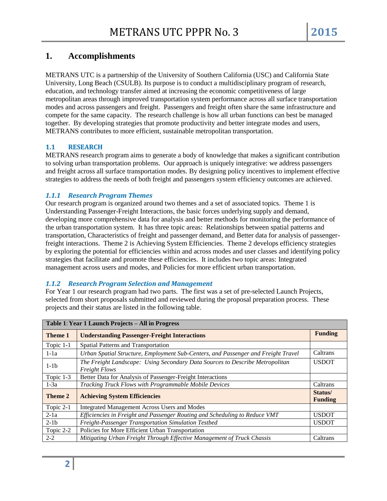# **1. Accomplishments**

METRANS UTC is a partnership of the University of Southern California (USC) and California State University, Long Beach (CSULB). Its purpose is to conduct a multidisciplinary program of research, education, and technology transfer aimed at increasing the economic competitiveness of large metropolitan areas through improved transportation system performance across all surface transportation modes and across passengers and freight. Passengers and freight often share the same infrastructure and compete for the same capacity. The research challenge is how all urban functions can best be managed together. By developing strategies that promote productivity and better integrate modes and users, METRANS contributes to more efficient, sustainable metropolitan transportation.

## **1.1 RESEARCH**

METRANS research program aims to generate a body of knowledge that makes a significant contribution to solving urban transportation problems. Our approach is uniquely integrative: we address passengers and freight across all surface transportation modes. By designing policy incentives to implement effective strategies to address the needs of both freight and passengers system efficiency outcomes are achieved.

## *1.1.1 Research Program Themes*

Our research program is organized around two themes and a set of associated topics. Theme 1 is Understanding Passenger-Freight Interactions, the basic forces underlying supply and demand, developing more comprehensive data for analysis and better methods for monitoring the performance of the urban transportation system. It has three topic areas: Relationships between spatial patterns and transportation, Characteristics of freight and passenger demand, and Better data for analysis of passengerfreight interactions. Theme 2 is Achieving System Efficiencies. Theme 2 develops efficiency strategies by exploring the potential for efficiencies within and across modes and user classes and identifying policy strategies that facilitate and promote these efficiencies. It includes two topic areas: Integrated management across users and modes, and Policies for more efficient urban transportation.

#### *1.1.2 Research Program Selection and Management*

For Year 1 our research program had two parts. The first was a set of pre-selected Launch Projects, selected from short proposals submitted and reviewed during the proposal preparation process. These projects and their status are listed in the following table.

| Table 1: Year 1 Launch Projects - All in Progress |                                                                                                      |                           |  |  |
|---------------------------------------------------|------------------------------------------------------------------------------------------------------|---------------------------|--|--|
| Theme 1                                           | <b>Understanding Passenger-Freight Interactions</b>                                                  |                           |  |  |
| Topic 1-1                                         | Spatial Patterns and Transportation                                                                  |                           |  |  |
| $1-1a$                                            | Urban Spatial Structure, Employment Sub-Centers, and Passenger and Freight Travel                    | Caltrans                  |  |  |
| $1-1b$                                            | The Freight Landscape: Using Secondary Data Sources to Describe Metropolitan<br><b>Freight Flows</b> | <b>USDOT</b>              |  |  |
| Topic 1-3                                         | Better Data for Analysis of Passenger-Freight Interactions                                           |                           |  |  |
| $1-3a$                                            | Tracking Truck Flows with Programmable Mobile Devices<br>Caltrans                                    |                           |  |  |
| Theme 2                                           | <b>Achieving System Efficiencies</b>                                                                 | Status/<br><b>Funding</b> |  |  |
| Topic 2-1                                         | <b>Integrated Management Across Users and Modes</b>                                                  |                           |  |  |
| $2-1a$                                            | Efficiencies in Freight and Passenger Routing and Scheduling to Reduce VMT                           | <b>USDOT</b>              |  |  |
| $2-1b$                                            | Freight-Passenger Transportation Simulation Testbed                                                  | <b>USDOT</b>              |  |  |
| Topic 2-2                                         | Policies for More Efficient Urban Transportation                                                     |                           |  |  |
| $2 - 2$                                           | Mitigating Urban Freight Through Effective Management of Truck Chassis                               | Caltrans                  |  |  |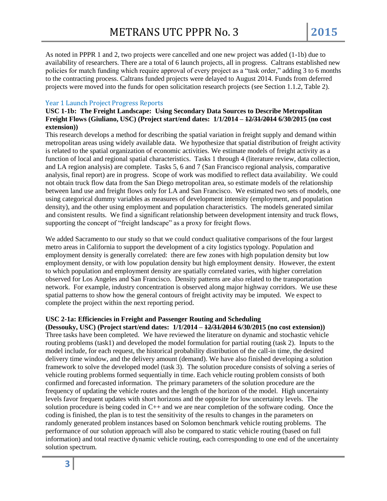As noted in PPPR 1 and 2, two projects were cancelled and one new project was added (1-1b) due to availability of researchers. There are a total of 6 launch projects, all in progress. Caltrans established new policies for match funding which require approval of every project as a "task order," adding 3 to 6 months to the contracting process. Caltrans funded projects were delayed to August 2014. Funds from deferred projects were moved into the funds for open solicitation research projects (see Section 1.1.2, Table 2).

#### Year 1 Launch Project Progress Reports

**USC 1-1b: The Freight Landscape: Using Secondary Data Sources to Describe Metropolitan Freight Flows (Giuliano, USC) (Project start/end dates: 1/1/2014 – 12/31/2014 6/30/2015 (no cost extension))** 

This research develops a method for describing the spatial variation in freight supply and demand within metropolitan areas using widely available data. We hypothesize that spatial distribution of freight activity is related to the spatial organization of economic activities. We estimate models of freight activity as a function of local and regional spatial characteristics. Tasks 1 through 4 (literature review, data collection, and LA region analysis) are complete. Tasks 5, 6 and 7 (San Francisco regional analysis, comparative analysis, final report) are in progress. Scope of work was modified to reflect data availability. We could not obtain truck flow data from the San Diego metropolitan area, so estimate models of the relationship between land use and freight flows only for LA and San Francisco. We estimated two sets of models, one using categorical dummy variables as measures of development intensity (employment, and population density), and the other using employment and population characteristics. The models generated similar and consistent results. We find a significant relationship between development intensity and truck flows, supporting the concept of "freight landscape" as a proxy for freight flows.

We added Sacramento to our study so that we could conduct qualitative comparisons of the four largest metro areas in California to support the development of a city logistics typology. Population and employment density is generally correlated: there are few zones with high population density but low employment density, or with low population density but high employment density. However, the extent to which population and employment density are spatially correlated varies, with higher correlation observed for Los Angeles and San Francisco. Density patterns are also related to the transportation network. For example, industry concentration is observed along major highway corridors. We use these spatial patterns to show how the general contours of freight activity may be imputed. We expect to complete the project within the next reporting period.

#### **USC 2-1a: Efficiencies in Freight and Passenger Routing and Scheduling**

**(Dessouky, USC) (Project start/end dates: 1/1/2014 – 12/31/2014 6/30/2015 (no cost extension))** Three tasks have been completed. We have reviewed the literature on dynamic and stochastic vehicle routing problems (task1) and developed the model formulation for partial routing (task 2). Inputs to the model include, for each request, the historical probability distribution of the call-in time, the desired delivery time window, and the delivery amount (demand). We have also finished developing a solution framework to solve the developed model (task 3). The solution procedure consists of solving a series of vehicle routing problems formed sequentially in time. Each vehicle routing problem consists of both confirmed and forecasted information. The primary parameters of the solution procedure are the frequency of updating the vehicle routes and the length of the horizon of the model. High uncertainty levels favor frequent updates with short horizons and the opposite for low uncertainty levels. The solution procedure is being coded in C++ and we are near completion of the software coding. Once the coding is finished, the plan is to test the sensitivity of the results to changes in the parameters on randomly generated problem instances based on Solomon benchmark vehicle routing problems. The performance of our solution approach will also be compared to static vehicle routing (based on full information) and total reactive dynamic vehicle routing, each corresponding to one end of the uncertainty solution spectrum.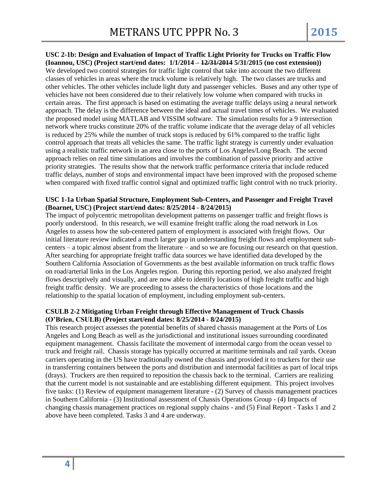**USC 2-1b: Design and Evaluation of Impact of Traffic Light Priority for Trucks on Traffic Flow (Ioannou, USC) (Project start/end dates: 1/1/2014 – 12/31/2014 5/31/2015 (no cost extension))** We developed two control strategies for traffic light control that take into account the two different classes of vehicles in areas where the truck volume is relatively high. The two classes are trucks and other vehicles. The other vehicles include light duty and passenger vehicles. Buses and any other type of vehicles have not been considered due to their relatively low volume when compared with trucks in certain areas. The first approach is based on estimating the average traffic delays using a neural network approach. The delay is the difference between the ideal and actual travel times of vehicles. We evaluated the proposed model using MATLAB and VISSIM software. The simulation results for a 9 intersection network where trucks constitute 20% of the traffic volume indicate that the average delay of all vehicles is reduced by 25% while the number of truck stops is reduced by 61% compared to the traffic light control approach that treats all vehicles the same. The traffic light strategy is currently under evaluation using a realistic traffic network in an area close to the ports of Los Angeles/Long Beach. The second approach relies on real time simulations and involves the combination of passive priority and active priority strategies. The results show that the network traffic performance criteria that include reduced traffic delays, number of stops and environmental impact have been improved with the proposed scheme when compared with fixed traffic control signal and optimized traffic light control with no truck priority.

#### **USC 1-1a Urban Spatial Structure, Employment Sub-Centers, and Passenger and Freight Travel (Boarnet, USC) (Project start/end dates: 8/25/2014 - 8/24/2015)**

The impact of polycentric metropolitan development patterns on passenger traffic and freight flows is poorly understood. In this research, we will examine freight traffic along the road network in Los Angeles to assess how the sub-centered pattern of employment is associated with freight flows. Our initial literature review indicated a much larger gap in understanding freight flows and employment subcenters – a topic almost absent from the literature – and so we are focusing our research on that question. After searching for appropriate freight traffic data sources we have identified data developed by the Southern California Association of Governments as the best available information on truck traffic flows on road/arterial links in the Los Angeles region. During this reporting period, we also analyzed freight flows descriptively and visually, and are now able to identify locations of high freight traffic and high freight traffic density. We are proceeding to assess the characteristics of those locations and the relationship to the spatial location of employment, including employment sub-centers.

#### **CSULB 2-2 Mitigating Urban Freight through Effective Management of Truck Chassis (O'Brien, CSULB) (Project start/end dates: 8/25/2014 - 8/24/2015)**

This research project assesses the potential benefits of shared chassis management at the Ports of Los Angeles and Long Beach as well as the jurisdictional and institutional issues surrounding coordinated equipment management. Chassis facilitate the movement of intermodal cargo from the ocean vessel to truck and freight rail. Chassis storage has typically occurred at maritime terminals and rail yards. Ocean carriers operating in the US have traditionally owned the chassis and provided it to truckers for their use in transferring containers between the ports and distribution and intermodal facilities as part of local trips (drays). Truckers are then required to reposition the chassis back to the terminal. Carriers are realizing that the current model is not sustainable and are establishing different equipment. This project involves five tasks: (1) Review of equipment management literature - (2) Survey of chassis management practices in Southern California - (3) Institutional assessment of Chassis Operations Group - (4) Impacts of changing chassis management practices on regional supply chains - and (5) Final Report - Tasks 1 and 2 above have been completed. Tasks 3 and 4 are underway.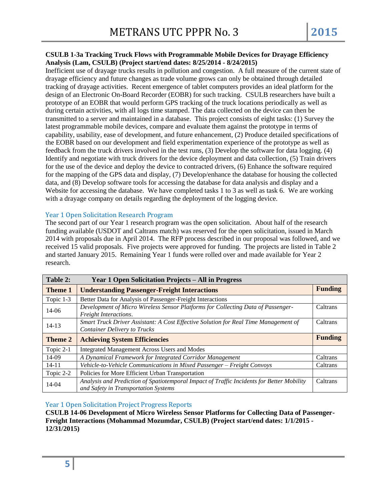#### **CSULB 1-3a Tracking Truck Flows with Programmable Mobile Devices for Drayage Efficiency Analysis (Lam, CSULB) (Project start/end dates: 8/25/2014 - 8/24/2015)**

Inefficient use of drayage trucks results in pollution and congestion. A full measure of the current state of drayage efficiency and future changes as trade volume grows can only be obtained through detailed tracking of drayage activities. Recent emergence of tablet computers provides an ideal platform for the design of an Electronic On-Board Recorder (EOBR) for such tracking. CSULB researchers have built a prototype of an EOBR that would perform GPS tracking of the truck locations periodically as well as during certain activities, with all logs time stamped. The data collected on the device can then be transmitted to a server and maintained in a database. This project consists of eight tasks: (1) Survey the latest programmable mobile devices, compare and evaluate them against the prototype in terms of capability, usability, ease of development, and future enhancement, (2) Produce detailed specifications of the EOBR based on our development and field experimentation experience of the prototype as well as feedback from the truck drivers involved in the test runs, (3) Develop the software for data logging. (4) Identify and negotiate with truck drivers for the device deployment and data collection, (5) Train drivers for the use of the device and deploy the device to contracted drivers, (6) Enhance the software required for the mapping of the GPS data and display, (7) Develop/enhance the database for housing the collected data, and (8) Develop software tools for accessing the database for data analysis and display and a Website for accessing the database. We have completed tasks 1 to 3 as well as task 6. We are working with a drayage company on details regarding the deployment of the logging device.

#### Year 1 Open Solicitation Research Program

The second part of our Year 1 research program was the open solicitation. About half of the research funding available (USDOT and Caltrans match) was reserved for the open solicitation, issued in March 2014 with proposals due in April 2014. The RFP process described in our proposal was followed, and we received 15 valid proposals. Five projects were approved for funding. The projects are listed in Table 2 and started January 2015. Remaining Year 1 funds were rolled over and made available for Year 2 research.

| Table 2:       | <b>Year 1 Open Solicitation Projects – All in Progress</b>                                                                 |                |
|----------------|----------------------------------------------------------------------------------------------------------------------------|----------------|
| <b>Theme 1</b> | <b>Understanding Passenger-Freight Interactions</b>                                                                        |                |
| Topic 1-3      | Better Data for Analysis of Passenger-Freight Interactions                                                                 |                |
| 14-06          | Development of Micro Wireless Sensor Platforms for Collecting Data of Passenger-<br>Freight Interactions.                  | Caltrans       |
| $14 - 13$      | Smart Truck Driver Assistant: A Cost Effective Solution for Real Time Management of<br><b>Container Delivery to Trucks</b> | Caltrans       |
| <b>Theme 2</b> | <b>Achieving System Efficiencies</b>                                                                                       | <b>Funding</b> |
| Topic 2-1      | <b>Integrated Management Across Users and Modes</b>                                                                        |                |
| 14-09          | A Dynamical Framework for Integrated Corridor Management                                                                   | Caltrans       |
| $14 - 11$      | Vehicle-to-Vehicle Communications in Mixed Passenger - Freight Convoys                                                     | Caltrans       |
| Topic 2-2      | Policies for More Efficient Urban Transportation                                                                           |                |
| 14-04          | Analysis and Prediction of Spatiotemporal Impact of Traffic Incidents for Better Mobility                                  | Caltrans       |

Year 1 Open Solicitation Project Progress Reports

**CSULB 14-06 Development of Micro Wireless Sensor Platforms for Collecting Data of Passenger-Freight Interactions (Mohammad Mozumdar, CSULB) (Project start/end dates: 1/1/2015 - 12/31/2015)**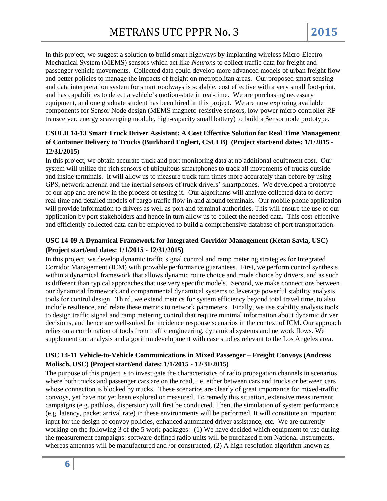In this project, we suggest a solution to build smart highways by implanting wireless Micro-Electro-Mechanical System (MEMS) sensors which act like *Neurons* to collect traffic data for freight and passenger vehicle movements. Collected data could develop more advanced models of urban freight flow and better policies to manage the impacts of freight on metropolitan areas. Our proposed smart sensing and data interpretation system for smart roadways is scalable, cost effective with a very small foot-print, and has capabilities to detect a vehicle's motion-state in real-time. We are purchasing necessary equipment, and one graduate student has been hired in this project. We are now exploring available components for Sensor Node design (MEMS magneto-resistive sensors, low-power micro-controller RF transceiver, energy scavenging module, high-capacity small battery) to build a Sensor node prototype.

# **CSULB 14-13 Smart Truck Driver Assistant: A Cost Effective Solution for Real Time Management of Container Delivery to Trucks (Burkhard Englert, CSULB) (Project start/end dates: 1/1/2015 - 12/31/2015)**

In this project, we obtain accurate truck and port monitoring data at no additional equipment cost. Our system will utilize the rich sensors of ubiquitous smartphones to track all movements of trucks outside and inside terminals. It will allow us to measure truck turn times more accurately than before by using GPS, network antenna and the inertial sensors of truck drivers' smartphones. We developed a prototype of our app and are now in the process of testing it. Our algorithms will analyze collected data to derive real time and detailed models of cargo traffic flow in and around terminals. Our mobile phone application will provide information to drivers as well as port and terminal authorities. This will ensure the use of our application by port stakeholders and hence in turn allow us to collect the needed data. This cost-effective and efficiently collected data can be employed to build a comprehensive database of port transportation.

## **USC 14-09 A Dynamical Framework for Integrated Corridor Management (Ketan Savla, USC) (Project start/end dates: 1/1/2015 - 12/31/2015)**

In this project, we develop dynamic traffic signal control and ramp metering strategies for Integrated Corridor Management (ICM) with provable performance guarantees. First, we perform control synthesis within a dynamical framework that allows dynamic route choice and mode choice by drivers, and as such is different than typical approaches that use very specific models. Second, we make connections between our dynamical framework and compartmental dynamical systems to leverage powerful stability analysis tools for control design. Third, we extend metrics for system efficiency beyond total travel time, to also include resilience, and relate these metrics to network parameters. Finally, we use stability analysis tools to design traffic signal and ramp metering control that require minimal information about dynamic driver decisions, and hence are well-suited for incidence response scenarios in the context of ICM. Our approach relies on a combination of tools from traffic engineering, dynamical systems and network flows. We supplement our analysis and algorithm development with case studies relevant to the Los Angeles area.

## **USC 14-11 Vehicle-to-Vehicle Communications in Mixed Passenger – Freight Convoys (Andreas Molisch, USC) (Project start/end dates: 1/1/2015 - 12/31/2015)**

The purpose of this project is to investigate the characteristics of radio propagation channels in scenarios where both trucks and passenger cars are on the road, i.e. either between cars and trucks or between cars whose connection is blocked by trucks. These scenarios are clearly of great importance for mixed-traffic convoys, yet have not yet been explored or measured. To remedy this situation, extensive measurement campaigns (e.g. pathloss, dispersion) will first be conducted. Then, the simulation of system performance (e.g. latency, packet arrival rate) in these environments will be performed. It will constitute an important input for the design of convoy policies, enhanced automated driver assistance, etc. We are currently working on the following 3 of the 5 work-packages: (1) We have decided which equipment to use during the measurement campaigns: software-defined radio units will be purchased from National Instruments, whereas antennas will be manufactured and /or constructed, (2) A high-resolution algorithm known as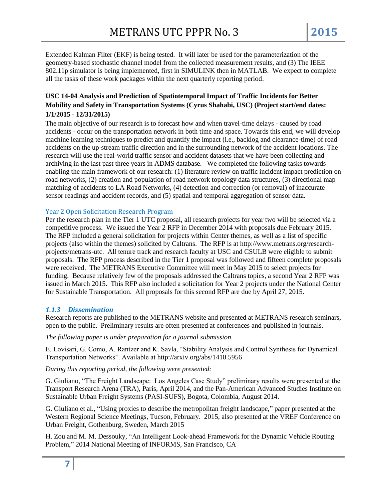Extended Kalman Filter (EKF) is being tested. It will later be used for the parameterization of the geometry-based stochastic channel model from the collected measurement results, and (3) The IEEE 802.11p simulator is being implemented, first in SIMULINK then in MATLAB. We expect to complete all the tasks of these work packages within the next quarterly reporting period.

## **USC 14-04 Analysis and Prediction of Spatiotemporal Impact of Traffic Incidents for Better Mobility and Safety in Transportation Systems (Cyrus Shahabi, USC) (Project start/end dates: 1/1/2015 - 12/31/2015)**

The main objective of our research is to forecast how and when travel-time delays - caused by road accidents - occur on the transportation network in both time and space. Towards this end, we will develop machine learning techniques to predict and quantify the impact (i.e., backlog and clearance-time) of road accidents on the up-stream traffic direction and in the surrounding network of the accident locations. The research will use the real-world traffic sensor and accident datasets that we have been collecting and archiving in the last past three years in ADMS database. We completed the following tasks towards enabling the main framework of our research: (1) literature review on traffic incident impact prediction on road networks, (2) creation and population of road network topology data structures, (3) directional map matching of accidents to LA Road Networks, (4) detection and correction (or removal) of inaccurate sensor readings and accident records, and (5) spatial and temporal aggregation of sensor data.

#### Year 2 Open Solicitation Research Program

Per the research plan in the Tier 1 UTC proposal, all research projects for year two will be selected via a competitive process. We issued the Year 2 RFP in December 2014 with proposals due February 2015. The RFP included a general solicitation for projects within Center themes, as well as a list of specific projects (also within the themes) solicited by Caltrans. The RFP is at [http://www.metrans.org/research](http://www.metrans.org/research-projects/metrans-utc)[projects/metrans-utc.](http://www.metrans.org/research-projects/metrans-utc) All tenure track and research faculty at USC and CSULB were eligible to submit proposals. The RFP process described in the Tier 1 proposal was followed and fifteen complete proposals were received. The METRANS Executive Committee will meet in May 2015 to select projects for funding. Because relatively few of the proposals addressed the Caltrans topics, a second Year 2 RFP was issued in March 2015. This RFP also included a solicitation for Year 2 projects under the National Center for Sustainable Transportation. All proposals for this second RFP are due by April 27, 2015.

#### *1.1.3 Dissemination*

Research reports are published to the METRANS website and presented at METRANS research seminars, open to the public. Preliminary results are often presented at conferences and published in journals.

*The following paper is under preparation for a journal submission.* 

E. Lovisari, G. Como, A. Rantzer and K. Savla, "Stability Analysis and Control Synthesis for Dynamical Transportation Networks". Available at http://arxiv.org/abs/1410.5956

## *During this reporting period, the following were presented:*

G. Giuliano, "The Freight Landscape: Los Angeles Case Study" preliminary results were presented at the Transport Research Arena (TRA), Paris, April 2014, and the Pan-American Advanced Studies Institute on Sustainable Urban Freight Systems (PASI-SUFS), Bogota, Colombia, August 2014.

G. Giuliano et al., "Using proxies to describe the metropolitan freight landscape," paper presented at the Western Regional Science Meetings, Tucson, February. 2015, also presented at the VREF Conference on Urban Freight, Gothenburg, Sweden, March 2015

H. Zou and M. M. Dessouky, "An Intelligent Look-ahead Framework for the Dynamic Vehicle Routing Problem," 2014 National Meeting of INFORMS, San Francisco, CA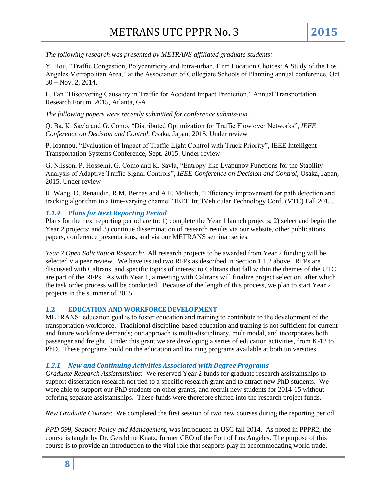*The following research was presented by METRANS affiliated graduate students:*

Y. Hou, "Traffic Congestion, Polycentricity and Intra-urban, Firm Location Choices: A Study of the Los Angeles Metropolitan Area," at the Association of Collegiate Schools of Planning annual conference, Oct. 30 – Nov. 2, 2014.

L. Fan "Discovering Causality in Traffic for Accident Impact Prediction." Annual Transportation Research Forum, 2015, Atlanta, GA

*The following papers were recently submitted for conference submission.*

Q. Ba, K. Savla and G. Como, "Distributed Optimization for Traffic Flow over Networks", *IEEE Conference on Decision and Control*, Osaka, Japan, 2015. Under review

P. Ioannou, "Evaluation of Impact of Traffic Light Control with Truck Priority", IEEE Intelligent Transportation Systems Conference, Sept. 2015. Under review

G. Nilsson, P. Hosseini, G. Como and K. Savla, "Entropy-like Lyapunov Functions for the Stability Analysis of Adaptive Traffic Signal Controls", *IEEE Conference on Decision and Control*, Osaka, Japan, 2015. Under review

R. Wang, O. Renaudin, R.M. Bernas and A.F. Molisch, "Efficiency improvement for path detection and tracking algorithm in a time-varying channel" IEEE Int'lVehicular Technology Conf. (VTC) Fall 2015.

#### *1.1.4 Plans for Next Reporting Period*

Plans for the next reporting period are to: 1) complete the Year 1 launch projects; 2) select and begin the Year 2 projects; and 3) continue dissemination of research results via our website, other publications, papers, conference presentations, and via our METRANS seminar series.

*Year 2 Open Solicitation Research:* All research projects to be awarded from Year 2 funding will be selected via peer review. We have issued two RFPs as described in Section 1.1.2 above. RFPs are discussed with Caltrans, and specific topics of interest to Caltrans that fall within the themes of the UTC are part of the RFPs. As with Year 1, a meeting with Caltrans will finalize project selection, after which the task order process will be conducted. Because of the length of this process, we plan to start Year 2 projects in the summer of 2015.

#### **1.2 EDUCATION AND WORKFORCE DEVELOPMENT**

METRANS' education goal is to foster education and training to contribute to the development of the transportation workforce. Traditional discipline-based education and training is not sufficient for current and future workforce demands; our approach is multi-disciplinary, multimodal, and incorporates both passenger and freight. Under this grant we are developing a series of education activities, from K-12 to PhD. These programs build on the education and training programs available at both universities.

#### *1.2.1 New and Continuing Activities Associated with Degree Programs*

*Graduate Research Assistantships*: We reserved Year 2 funds for graduate research assistantships to support dissertation research not tied to a specific research grant and to attract new PhD students. We were able to support our PhD students on other grants, and recruit new students for 2014-15 without offering separate assistantships. These funds were therefore shifted into the research project funds.

*New Graduate Courses*: We completed the first session of two new courses during the reporting period.

*PPD 599, Seaport Policy and Management*, was introduced at USC fall 2014. As noted in PPPR2, the course is taught by Dr. Geraldine Knatz, former CEO of the Port of Los Angeles. The purpose of this course is to provide an introduction to the vital role that seaports play in accommodating world trade.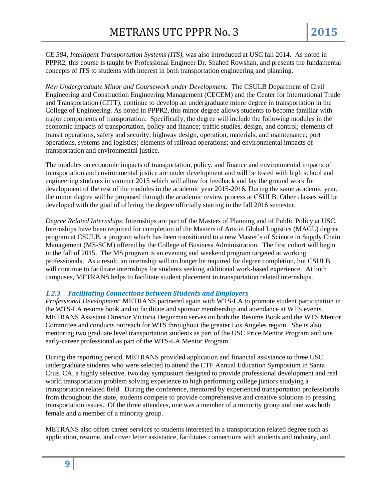*CE 584, Intelligent Transportation Systems (ITS)*, was also introduced at USC fall 2014. As noted in PPPR2, this course is taught by Professional Engineer Dr. Shahed Rowshan, and presents the fundamental concepts of ITS to students with interest in both transportation engineering and planning.

*New Undergraduate Minor and Coursework under Development:* The CSULB Department of Civil Engineering and Construction Engineering Management (CECEM) and the Center for International Trade and Transportation (CITT), continue to develop an undergraduate minor degree in transportation in the College of Engineering. As noted in PPPR2, this minor degree allows students to become familiar with major components of transportation. Specifically, the degree will include the following modules in the economic impacts of transportation, policy and finance; traffic studies, design, and control; elements of transit operations, safety and security; highway design, operation, materials, and maintenance; port operations, systems and logistics; elements of railroad operations; and environmental impacts of transportation and environmental justice.

The modules on economic impacts of transportation, policy, and finance and environmental impacts of transportation and environmental justice are under development and will be tested with high school and engineering students in summer 2015 which will allow for feedback and lay the ground work for development of the rest of the modules in the academic year 2015-2016. During the same academic year, the minor degree will be proposed through the academic review process at CSULB. Other classes will be developed with the goal of offering the degree officially starting in the fall 2016 semester.

*Degree Related Internships*: Internships are part of the Masters of Planning and of Public Policy at USC. Internships have been required for completion of the Masters of Arts in Global Logistics (MAGL) degree program at CSULB, a program which has been transitioned to a new Master's of Science in Supply Chain Management (MS-SCM) offered by the College of Business Administration. The first cohort will begin in the fall of 2015. The MS program is an evening and weekend program targeted at working professionals. As a result, an internship will no longer be required for degree completion, but CSULB will continue to facilitate internships for students seeking additional work-based experience. At both campuses, METRANS helps to facilitate student placement in transportation related internships.

#### *1.2.3 Facilitating Connections between Students and Employers*

*Professional Development*: METRANS partnered again with WTS-LA to promote student participation in the WTS-LA resume book and to facilitate and sponsor membership and attendance at WTS events. METRANS Assistant Director Victoria Deguzman serves on both the Resume Book and the WTS Mentor Committee and conducts outreach for WTS throughout the greater Los Angeles region. She is also mentoring two graduate level transportation students as part of the USC Price Mentor Program and one early-career professional as part of the WTS-LA Mentor Program.

During the reporting period, METRANS provided application and financial assistance to three USC undergraduate students who were selected to attend the CTF Annual Education Symposium in Santa Cruz, CA, a highly selective, two day symposium designed to provide professional development and real world transportation problem solving experience to high performing college juniors studying a transportation related field. During the conference, mentored by experienced transportation professionals from throughout the state, students compete to provide comprehensive and creative solutions to pressing transportation issues. Of the three attendees, one was a member of a minority group and one was both female and a member of a minority group.

METRANS also offers career services to students interested in a transportation related degree such as application, resume, and cover letter assistance, facilitates connections with students and industry, and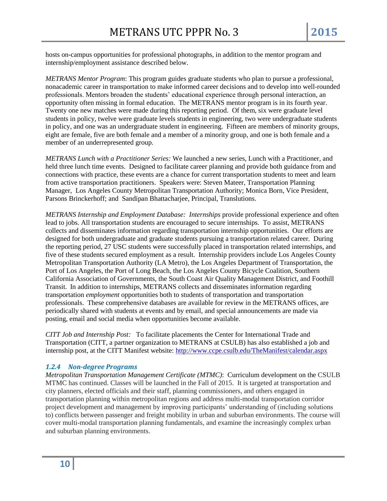hosts on-campus opportunities for professional photographs, in addition to the mentor program and internship/employment assistance described below.

*METRANS Mentor Program*: This program guides graduate students who plan to pursue a professional, nonacademic career in transportation to make informed career decisions and to develop into well-rounded professionals. Mentors broaden the students' educational experience through personal interaction, an opportunity often missing in formal education. The METRANS mentor program is in its fourth year. Twenty one new matches were made during this reporting period. Of them, six were graduate level students in policy, twelve were graduate levels students in engineering, two were undergraduate students in policy, and one was an undergraduate student in engineering. Fifteen are members of minority groups, eight are female, five are both female and a member of a minority group, and one is both female and a member of an underrepresented group.

*METRANS Lunch with a Practitioner Series:* We launched a new series, Lunch with a Practitioner, and held three lunch time events. Designed to facilitate career planning and provide both guidance from and connections with practice, these events are a chance for current transportation students to meet and learn from active transportation practitioners. Speakers were: Steven Mateer, Transportation Planning Manager, Los Angeles County Metropolitan Transportation Authority; Monica Born, Vice President, Parsons Brinckerhoff; and Sandipan Bhattacharjee, Principal, Translutions.

*METRANS Internship and Employment Database: Internships* provide professional experience and often lead to jobs. All transportation students are encouraged to secure internships.To assist, METRANS collects and disseminates information regarding transportation internship opportunities. Our efforts are designed for both undergraduate and graduate students pursuing a transportation related career. During the reporting period, 27 USC students were successfully placed in transportation related internships, and five of these students secured employment as a result. Internship providers include Los Angeles County Metropolitan Transportation Authority (LA Metro), the Los Angeles Department of Transportation, the Port of Los Angeles, the Port of Long Beach, the Los Angeles County Bicycle Coalition, Southern California Association of Governments, the South Coast Air Quality Management District, and Foothill Transit. In addition to internships, METRANS collects and disseminates information regarding transportation *employment* opportunities both to students of transportation and transportation professionals. These comprehensive databases are available for review in the METRANS offices, are periodically shared with students at events and by email, and special announcements are made via posting, email and social media when opportunities become available.

*CITT Job and Internship Post:* To facilitate placements the Center for International Trade and Transportation (CITT, a partner organization to METRANS at CSULB) has also established a job and internship post, at the CITT Manifest website:<http://www.ccpe.csulb.edu/TheManifest/calendar.aspx>

#### *1.2.4 Non-degree Programs*

*Metropolitan Transportation Management Certificate (MTMC)*: Curriculum development on the CSULB MTMC has continued. Classes will be launched in the Fall of 2015. It is targeted at transportation and city planners, elected officials and their staff, planning commissioners, and others engaged in transportation planning within metropolitan regions and address multi-modal transportation corridor project development and management by improving participants' understanding of (including solutions to) conflicts between passenger and freight mobility in urban and suburban environments. The course will cover multi-modal transportation planning fundamentals, and examine the increasingly complex urban and suburban planning environments.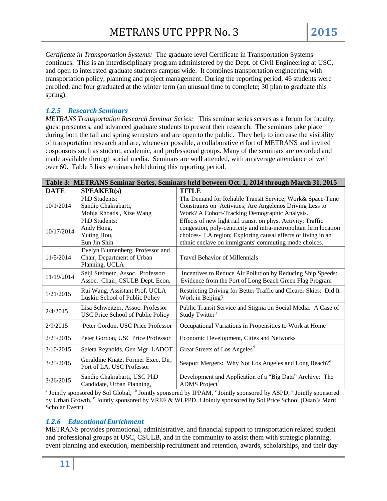*Certificate in Transportation Systems:* The graduate level Certificate in Transportation Systems continues. This is an interdisciplinary program administered by the Dept. of Civil Engineering at USC, and open to interested graduate students campus wide. It combines transportation engineering with transportation policy, planning and project management. During the reporting period, 46 students were enrolled, and four graduated at the winter term (an unusual time to complete; 30 plan to graduate this spring).

## *1.2.5 Research Seminars*

*METRANS Transportation Research Seminar Series:* This seminar series serves as a forum for faculty, guest presenters, and advanced graduate students to present their research. The seminars take place during both the fall and spring semesters and are open to the public. They help to increase the visibility of transportation research and are, whenever possible, a collaborative effort of METRANS and invited cosponsors such as student, academic, and professional groups. Many of the seminars are recorded and made available through social media. Seminars are well attended, with an average attendance of well over 60. Table 3 lists seminars held during this reporting period.

| Table 3: METRANS Seminar Series, Seminars held between Oct. 1, 2014 through March 31, 2015 |                                          |                                                                   |  |
|--------------------------------------------------------------------------------------------|------------------------------------------|-------------------------------------------------------------------|--|
| <b>DATE</b>                                                                                | <b>SPEAKER(s)</b>                        | <b>TITLE</b>                                                      |  |
| 10/1/2014                                                                                  | PhD Students:                            | The Demand for Reliable Transit Service; Work& Space-Time         |  |
|                                                                                            | Sandip Chakrabarti,                      | Constraints on Activities; Are Angelenos Driving Less to          |  |
|                                                                                            | Mohja Rhoads, Xize Wang                  | Work? A Cohort-Tracking Demographic Analysis.                     |  |
|                                                                                            | PhD Students:                            | Effects of new light rail transit on phys. Activity; Traffic      |  |
| 10/17/2014                                                                                 | Andy Hong,                               | congestion, poly-centricity and intra-metropolitan firm location  |  |
|                                                                                            | Yuting Hou,                              | choices- LA region; Exploring causal effects of living in an      |  |
|                                                                                            | Eun Jin Shin                             | ethnic enclave on immigrants' commuting mode choices.             |  |
|                                                                                            | Evelyn Blumenberg, Professor and         |                                                                   |  |
| 11/5/2014                                                                                  | Chair, Department of Urban               | <b>Travel Behavior of Millennials</b>                             |  |
|                                                                                            | Planning, UCLA                           |                                                                   |  |
| 11/19/2014                                                                                 | Seiji Steimetz, Assoc. Professor/        | Incentives to Reduce Air Pollution by Reducing Ship Speeds:       |  |
|                                                                                            | Assoc. Chair, CSULB Dept. Econ.          | Evidence from the Port of Long Beach Green Flag Program           |  |
| 1/21/2015                                                                                  | Rui Wang, Assistant Prof. UCLA           | Restricting Driving for Better Traffic and Clearer Skies: Did It  |  |
|                                                                                            | Luskin School of Public Policy           | Work in Beijing? <sup>a</sup>                                     |  |
|                                                                                            | Lisa Schweitzer, Assoc. Professor        | Public Transit Service and Stigma on Social Media: A Case of      |  |
| 2/4/2015                                                                                   | <b>USC Price School of Public Policy</b> | Study Twitter <sup>b</sup>                                        |  |
|                                                                                            |                                          |                                                                   |  |
| 2/9/2015                                                                                   | Peter Gordon, USC Price Professor        | Occupational Variations in Propensities to Work at Home           |  |
| 2/25/2015                                                                                  | Peter Gordon, USC Price Professor        | Economic Development, Cities and Networks                         |  |
| 3/10/2015                                                                                  | Seleta Reynolds, Gen Mgr, LADOT          | Great Streets of Los Angeles <sup>d</sup>                         |  |
| 3/25/2015                                                                                  | Geraldine Knatz, Former Exec. Dir,       | Seaport Mergers: Why Not Los Angeles and Long Beach? <sup>e</sup> |  |
|                                                                                            | Port of LA, USC Professor                |                                                                   |  |
| 3/26/2015                                                                                  | Sandip Chakrabarti, USC PhD              | Development and Application of a "Big Data" Archive: The          |  |
|                                                                                            | Candidate, Urban Planning,               | ADMS Project <sup>†</sup>                                         |  |

<sup>a</sup> Jointly sponsored by Sol Global,  $\overline{b}$  Jointly sponsored by IPPAM,  $\overline{c}$  Jointly sponsored by ASPD,  $\overline{d}$  Jointly sponsored by Urban Growth, <sup>e</sup> Jointly sponsored by VREF & WLPPD, f Jointly sponsored by Sol Price School (Dean's Merit Scholar Event)

## *1.2.6 Educational Enrichment*

METRANS provides promotional, administrative, and financial support to transportation related student and professional groups at USC, CSULB, and in the community to assist them with strategic planning, event planning and execution, membership recruitment and retention, awards, scholarships, and their day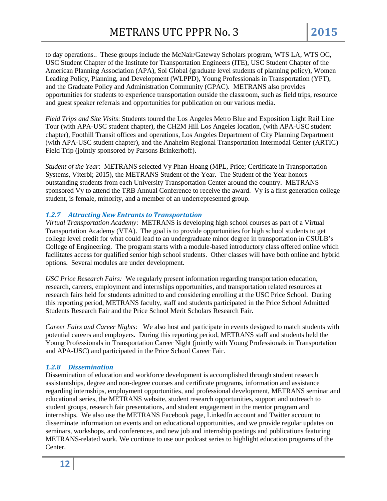to day operations.. These groups include the McNair/Gateway Scholars program, WTS LA, WTS OC, USC Student Chapter of the Institute for Transportation Engineers (ITE), USC Student Chapter of the American Planning Association (APA), Sol Global (graduate level students of planning policy), Women Leading Policy, Planning, and Development (WLPPD), Young Professionals in Transportation (YPT), and the Graduate Policy and Administration Community (GPAC). METRANS also provides opportunities for students to experience transportation outside the classroom, such as field trips, resource and guest speaker referrals and opportunities for publication on our various media.

*Field Trips and Site Visits*: Students toured the Los Angeles Metro Blue and Exposition Light Rail Line Tour (with APA-USC student chapter), the CH2M Hill Los Angeles location, (with APA-USC student chapter), Foothill Transit offices and operations, Los Angeles Department of City Planning Department (with APA-USC student chapter), and the Anaheim Regional Transportation Intermodal Center (ARTIC) Field Trip (jointly sponsored by Parsons Brinkerhoff).

*Student of the Year*: METRANS selected Vy Phan-Hoang (MPL, Price; Certificate in Transportation Systems, Viterbi; 2015), the METRANS Student of the Year. The Student of the Year honors outstanding students from each University Transportation Center around the country. METRANS sponsored Vy to attend the TRB Annual Conference to receive the award. Vy is a first generation college student, is female, minority, and a member of an underrepresented group.

#### *1.2.7 Attracting New Entrants to Transportation*

*Virtual Transportation Academy*: METRANS is developing high school courses as part of a Virtual Transportation Academy (VTA). The goal is to provide opportunities for high school students to get college level credit for what could lead to an undergraduate minor degree in transportation in CSULB's College of Engineering. The program starts with a module-based introductory class offered online which facilitates access for qualified senior high school students. Other classes will have both online and hybrid options. Several modules are under development.

*USC Price Research Fairs:* We regularly present information regarding transportation education, research, careers, employment and internships opportunities, and transportation related resources at research fairs held for students admitted to and considering enrolling at the USC Price School. During this reporting period, METRANS faculty, staff and students participated in the Price School Admitted Students Research Fair and the Price School Merit Scholars Research Fair.

*Career Fairs and Career Nights:* We also host and participate in events designed to match students with potential careers and employers. During this reporting period, METRANS staff and students held the Young Professionals in Transportation Career Night (jointly with Young Professionals in Transportation and APA-USC) and participated in the Price School Career Fair.

#### *1.2.8 Dissemination*

Dissemination of education and workforce development is accomplished through student research assistantships, degree and non-degree courses and certificate programs, information and assistance regarding internships, employment opportunities, and professional development, METRANS seminar and educational series, the METRANS website, student research opportunities, support and outreach to student groups, research fair presentations, and student engagement in the mentor program and internships. We also use the METRANS Facebook page, LinkedIn account and Twitter account to disseminate information on events and on educational opportunities, and we provide regular updates on seminars, workshops, and conferences, and new job and internship postings and publications featuring METRANS-related work. We continue to use our podcast series to highlight education programs of the Center.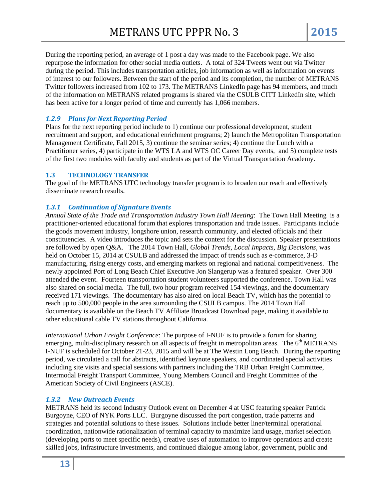During the reporting period, an average of 1 post a day was made to the Facebook page. We also repurpose the information for other social media outlets. A total of 324 Tweets went out via Twitter during the period. This includes transportation articles, job information as well as information on events of interest to our followers. Between the start of the period and its completion, the number of METRANS Twitter followers increased from 102 to 173. The METRANS LinkedIn page has 94 members, and much of the information on METRANS related programs is shared via the CSULB CITT LinkedIn site, which has been active for a longer period of time and currently has 1,066 members.

## *1.2.9 Plans for Next Reporting Period*

Plans for the next reporting period include to 1) continue our professional development, student recruitment and support, and educational enrichment programs; 2) launch the Metropolitan Transportation Management Certificate, Fall 2015, 3) continue the seminar series; 4) continue the Lunch with a Practitioner series, 4) participate in the WTS LA and WTS OC Career Day events, and 5) complete tests of the first two modules with faculty and students as part of the Virtual Transportation Academy.

## **1.3 TECHNOLOGY TRANSFER**

The goal of the METRANS UTC technology transfer program is to broaden our reach and effectively disseminate research results.

## *1.3.1 Continuation of Signature Events*

*Annual State of the Trade and Transportation Industry Town Hall Meeting*: The Town Hall Meeting is a practitioner-oriented educational forum that explores transportation and trade issues. Participants include the goods movement industry, longshore union, research community, and elected officials and their constituencies. A video introduces the topic and sets the context for the discussion. Speaker presentations are followed by open Q&A. The 2014 Town Hall, *Global Trends, Local Impacts, Big Decisions*, was held on October 15, 2014 at CSULB and addressed the impact of trends such as e-commerce, 3-D manufacturing, rising energy costs, and emerging markets on regional and national competitiveness. The newly appointed Port of Long Beach Chief Executive Jon Slangerup was a featured speaker. Over 300 attended the event. Fourteen transportation student volunteers supported the conference. Town Hall was also shared on social media. The full, two hour program received 154 viewings, and the documentary received 171 viewings. The documentary has also aired on local Beach TV, which has the potential to reach up to 500,000 people in the area surrounding the CSULB campus. The 2014 Town Hall documentary is available on the Beach TV Affiliate Broadcast Download page, making it available to other educational cable TV stations throughout California.

*International Urban Freight Conference*: The purpose of I-NUF is to provide a forum for sharing emerging, multi-disciplinary research on all aspects of freight in metropolitan areas. The  $6<sup>th</sup> METRANS$ I-NUF is scheduled for October 21-23, 2015 and will be at The Westin Long Beach. During the reporting period, we circulated a call for abstracts, identified keynote speakers, and coordinated special activities including site visits and special sessions with partners including the TRB Urban Freight Committee, Intermodal Freight Transport Committee, Young Members Council and Freight Committee of the American Society of Civil Engineers (ASCE).

#### *1.3.2 New Outreach Events*

METRANS held its second Industry Outlook event on December 4 at USC featuring speaker Patrick Burgoyne, CEO of NYK Ports LLC. Burgoyne discussed the port congestion, trade patterns and strategies and potential solutions to these issues. Solutions include better liner/terminal operational coordination, nationwide rationalization of terminal capacity to maximize land usage, market selection (developing ports to meet specific needs), creative uses of automation to improve operations and create skilled jobs, infrastructure investments, and continued dialogue among labor, government, public and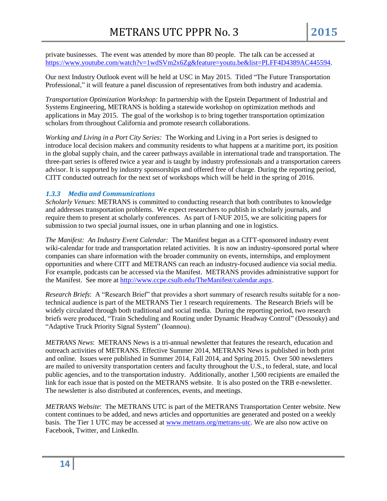private businesses. The event was attended by more than 80 people. The talk can be accessed at [https://www.youtube.com/watch?v=1wdSVm2x6Zg&feature=youtu.be&list=PLFF4D4389AC445594.](https://www.youtube.com/watch?v=1wdSVm2x6Zg&feature=youtu.be&list=PLFF4D4389AC445594)

Our next Industry Outlook event will be held at USC in May 2015. Titled "The Future Transportation Professional," it will feature a panel discussion of representatives from both industry and academia.

*Transportation Optimization Workshop:* In partnership with the Epstein Department of Industrial and Systems Engineering, METRANS is holding a statewide workshop on optimization methods and applications in May 2015. The goal of the workshop is to bring together transportation optimization scholars from throughout California and promote research collaborations.

*Working and Living in a Port City Series:* The Working and Living in a Port series is designed to introduce local decision makers and community residents to what happens at a maritime port, its position in the global supply chain, and the career pathways available in international trade and transportation. The three-part series is offered twice a year and is taught by industry professionals and a transportation careers advisor. It is supported by industry sponsorships and offered free of charge. During the reporting period, CITT conducted outreach for the next set of workshops which will be held in the spring of 2016.

## *1.3.3 Media and Communications*

*Scholarly Venues*: METRANS is committed to conducting research that both contributes to knowledge and addresses transportation problems. We expect researchers to publish in scholarly journals, and require them to present at scholarly conferences. As part of I-NUF 2015, we are soliciting papers for submission to two special journal issues, one in urban planning and one in logistics.

*The Manifest: An Industry Event Calendar:* The Manifest began as a CITT-sponsored industry event wiki-calendar for trade and transportation related activities. It is now an industry-sponsored portal where companies can share information with the broader community on events, internships, and employment opportunities and where CITT and METRANS can reach an industry-focused audience via social media. For example, podcasts can be accessed via the Manifest. METRANS provides administrative support for the Manifest. See more at [http://www.ccpe.csulb.edu/TheManifest/calendar.aspx.](http://www.ccpe.csulb.edu/TheManifest/calendar.aspx)

*Research Briefs*: A "Research Brief" that provides a short summary of research results suitable for a nontechnical audience is part of the METRANS Tier 1 research requirements. The Research Briefs will be widely circulated through both traditional and social media. During the reporting period, two research briefs were produced, "Train Scheduling and Routing under Dynamic Headway Control" (Dessouky) and "Adaptive Truck Priority Signal System" (Ioannou).

*METRANS News*: METRANS News is a tri-annual newsletter that features the research, education and outreach activities of METRANS. Effective Summer 2014, METRANS News is published in both print and online. Issues were published in Summer 2014, Fall 2014, and Spring 2015. Over 500 newsletters are mailed to university transportation centers and faculty throughout the U.S., to federal, state, and local public agencies, and to the transportation industry. Additionally, another 1,500 recipients are emailed the link for each issue that is posted on the METRANS website. It is also posted on the TRB e-newsletter. The newsletter is also distributed at conferences, events, and meetings.

*METRANS Website*: The METRANS UTC is part of the METRANS Transportation Center website. New content continues to be added, and news articles and opportunities are generated and posted on a weekly basis. The Tier 1 UTC may be accessed at [www.metrans.org/metrans-utc.](http://www.metrans.org/metrans-utc) We are also now active on Facebook, Twitter, and LinkedIn.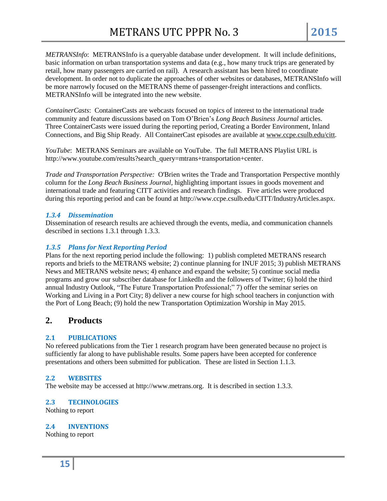*METRANSInfo*: METRANSInfo is a queryable database under development. It will include definitions, basic information on urban transportation systems and data (e.g., how many truck trips are generated by retail, how many passengers are carried on rail). A research assistant has been hired to coordinate development. In order not to duplicate the approaches of other websites or databases, METRANSInfo will be more narrowly focused on the METRANS theme of passenger-freight interactions and conflicts. METRANSInfo will be integrated into the new website.

*ContainerCasts*: ContainerCasts are webcasts focused on topics of interest to the international trade community and feature discussions based on Tom O'Brien's *Long Beach Business Journal* articles. Three ContainerCasts were issued during the reporting period, Creating a Border Environment, Inland Connections, and Big Ship Ready. All ContainerCast episodes are available at [www.ccpe.csulb.edu/citt.](http://www.ccpe.csulb.edu/citt)

*YouTube*: METRANS Seminars are available on YouTube. The full METRANS Playlist URL is http://www.youtube.com/results?search\_query=mtrans+transportation+center.

*Trade and Transportation Perspective:* O'Brien writes the Trade and Transportation Perspective monthly column for the *Long Beach Business Journal*, highlighting important issues in goods movement and international trade and featuring CITT activities and research findings. Five articles were produced during this reporting period and can be found at http://www.ccpe.csulb.edu/CITT/IndustryArticles.aspx.

## *1.3.4 Dissemination*

Dissemination of research results are achieved through the events, media, and communication channels described in sections 1.3.1 through 1.3.3.

## *1.3.5 Plans for Next Reporting Period*

Plans for the next reporting period include the following: 1) publish completed METRANS research reports and briefs to the METRANS website; 2) continue planning for INUF 2015; 3) publish METRANS News and METRANS website news; 4) enhance and expand the website; 5) continue social media programs and grow our subscriber database for LinkedIn and the followers of Twitter; 6) hold the third annual Industry Outlook, "The Future Transportation Professional;" 7) offer the seminar series on Working and Living in a Port City; 8) deliver a new course for high school teachers in conjunction with the Port of Long Beach; (9) hold the new Transportation Optimization Worship in May 2015.

# **2. Products**

## **2.1 PUBLICATIONS**

No refereed publications from the Tier 1 research program have been generated because no project is sufficiently far along to have publishable results. Some papers have been accepted for conference presentations and others been submitted for publication. These are listed in Section 1.1.3.

#### **2.2 WEBSITES**

The website may be accessed at http://www.metrans.org. It is described in section 1.3.3.

#### **2.3 TECHNOLOGIES**

Nothing to report

#### **2.4 INVENTIONS**

Nothing to report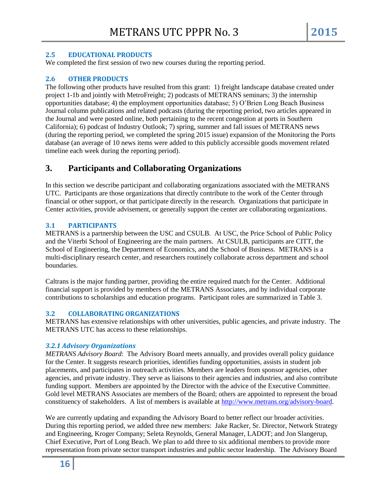#### **2.5 EDUCATIONAL PRODUCTS**

We completed the first session of two new courses during the reporting period.

#### **2.6 OTHER PRODUCTS**

The following other products have resulted from this grant: 1) freight landscape database created under project 1-1b and jointly with MetroFreight; 2) podcasts of METRANS seminars; 3) the internship opportunities database; 4) the employment opportunities database; 5) O'Brien Long Beach Business Journal column publications and related podcasts (during the reporting period, two articles appeared in the Journal and were posted online, both pertaining to the recent congestion at ports in Southern California); 6) podcast of Industry Outlook; 7) spring, summer and fall issues of METRANS news (during the reporting period, we completed the spring 2015 issue) expansion of the Monitoring the Ports database (an average of 10 news items were added to this publicly accessible goods movement related timeline each week during the reporting period).

# **3. Participants and Collaborating Organizations**

In this section we describe participant and collaborating organizations associated with the METRANS UTC. Participants are those organizations that directly contribute to the work of the Center through financial or other support, or that participate directly in the research. Organizations that participate in Center activities, provide advisement, or generally support the center are collaborating organizations.

## **3.1 PARTICIPANTS**

METRANS is a partnership between the USC and CSULB. At USC, the Price School of Public Policy and the Viterbi School of Engineering are the main partners. At CSULB, participants are CITT, the School of Engineering, the Department of Economics, and the School of Business. METRANS is a multi-disciplinary research center, and researchers routinely collaborate across department and school boundaries.

Caltrans is the major funding partner, providing the entire required match for the Center. Additional financial support is provided by members of the METRANS Associates, and by individual corporate contributions to scholarships and education programs. Participant roles are summarized in Table 3.

#### **3.2 COLLABORATING ORGANIZATIONS**

METRANS has extensive relationships with other universities, public agencies, and private industry. The METRANS UTC has access to these relationships.

#### *3.2.1 Advisory Organizations*

*METRANS Advisory Board*: The Advisory Board meets annually, and provides overall policy guidance for the Center. It suggests research priorities, identifies funding opportunities, assists in student job placements, and participates in outreach activities. Members are leaders from sponsor agencies, other agencies, and private industry. They serve as liaisons to their agencies and industries, and also contribute funding support. Members are appointed by the Director with the advice of the Executive Committee. Gold level METRANS Associates are members of the Board; others are appointed to represent the broad constituency of stakeholders. A list of members is available at [http://www.metrans.org/advisory-board.](http://www.metrans.org/advisory-board)

We are currently updating and expanding the Advisory Board to better reflect our broader activities. During this reporting period, we added three new members: Jake Racker, Sr. Director, Network Strategy and Engineering, Kroger Company; Seleta Reynolds, General Manager, LADOT; and Jon Slangerup, Chief Executive, Port of Long Beach. We plan to add three to six additional members to provide more representation from private sector transport industries and public sector leadership. The Advisory Board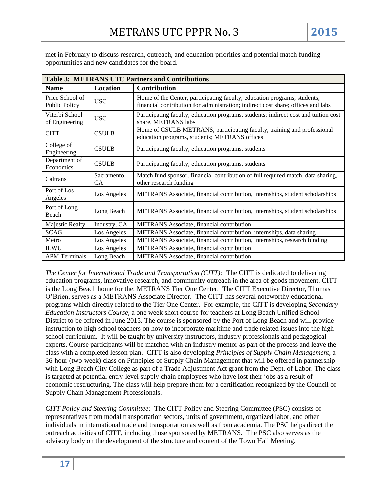met in February to discuss research, outreach, and education priorities and potential match funding opportunities and new candidates for the board.

| <b>Table 3: METRANS UTC Partners and Contributions</b> |                   |                                                                                                                                                              |  |  |
|--------------------------------------------------------|-------------------|--------------------------------------------------------------------------------------------------------------------------------------------------------------|--|--|
| <b>Name</b>                                            | Location          | Contribution                                                                                                                                                 |  |  |
| Price School of<br><b>Public Policy</b>                | <b>USC</b>        | Home of the Center, participating faculty, education programs, students;<br>financial contribution for administration; indirect cost share; offices and labs |  |  |
| Viterbi School<br>of Engineering                       | <b>USC</b>        | Participating faculty, education programs, students; indirect cost and tuition cost<br>share, METRANS labs                                                   |  |  |
| <b>CITT</b>                                            | <b>CSULB</b>      | Home of CSULB METRANS, participating faculty, training and professional<br>education programs, students; METRANS offices                                     |  |  |
| College of<br>Engineering                              | <b>CSULB</b>      | Participating faculty, education programs, students                                                                                                          |  |  |
| Department of<br>Economics                             | <b>CSULB</b>      | Participating faculty, education programs, students                                                                                                          |  |  |
| Caltrans                                               | Sacramento,<br>CA | Match fund sponsor, financial contribution of full required match, data sharing,<br>other research funding                                                   |  |  |
| Port of Los<br>Angeles                                 | Los Angeles       | METRANS Associate, financial contribution, internships, student scholarships                                                                                 |  |  |
| Port of Long<br>Beach                                  | Long Beach        | METRANS Associate, financial contribution, internships, student scholarships                                                                                 |  |  |
| Majestic Realty                                        | Industry, CA      | METRANS Associate, financial contribution                                                                                                                    |  |  |
| <b>SCAG</b>                                            | Los Angeles       | METRANS Associate, financial contribution, internships, data sharing                                                                                         |  |  |
| Metro                                                  | Los Angeles       | METRANS Associate, financial contribution, internships, research funding                                                                                     |  |  |
| <b>ILWU</b>                                            | Los Angeles       | <b>METRANS</b> Associate, financial contribution                                                                                                             |  |  |
| <b>APM Terminals</b>                                   | Long Beach        | METRANS Associate, financial contribution                                                                                                                    |  |  |

*The Center for International Trade and Transportation (CITT):* The CITT is dedicated to delivering education programs, innovative research, and community outreach in the area of goods movement. CITT is the Long Beach home for the: METRANS Tier One Center. The CITT Executive Director, Thomas O'Brien, serves as a METRANS Associate Director. The CITT has several noteworthy educational programs which directly related to the Tier One Center. For example, the CITT is developing *Secondary Education Instructors Course,* a one week short course for teachers at Long Beach Unified School District to be offered in June 2015. The course is sponsored by the Port of Long Beach and will provide instruction to high school teachers on how to incorporate maritime and trade related issues into the high school curriculum. It will be taught by university instructors, industry professionals and pedagogical experts. Course participants will be matched with an industry mentor as part of the process and leave the class with a completed lesson plan. CITT is also developing *Principles of Supply Chain Management,* a 36-hour (two-week) class on Principles of Supply Chain Management that will be offered in partnership with Long Beach City College as part of a Trade Adjustment Act grant from the Dept. of Labor. The class is targeted at potential entry-level supply chain employees who have lost their jobs as a result of economic restructuring. The class will help prepare them for a certification recognized by the Council of Supply Chain Management Professionals.

*CITT Policy and Steering Committee:* The CITT Policy and Steering Committee (PSC) consists of representatives from modal transportation sectors, units of government, organized labor, and other individuals in international trade and transportation as well as from academia. The PSC helps direct the outreach activities of CITT, including those sponsored by METRANS. The PSC also serves as the advisory body on the development of the structure and content of the Town Hall Meeting.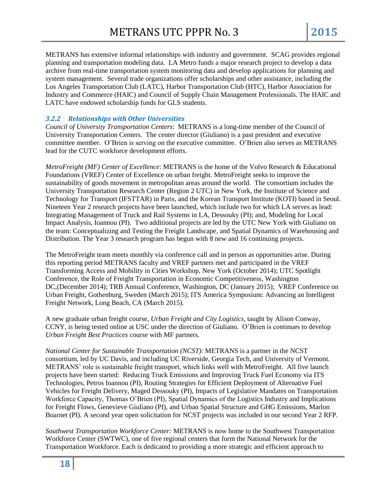METRANS has extensive informal relationships with industry and government. SCAG provides regional planning and transportation modeling data. LA Metro funds a major research project to develop a data archive from real-time transportation system monitoring data and develop applications for planning and system management. Several trade organizations offer scholarships and other assistance, including the Los Angeles Transportation Club (LATC), Harbor Transportation Club (HTC), Harbor Association for Industry and Commerce (HAIC) and Council of Supply Chain Management Professionals. The HAIC and LATC have endowed scholarship funds for GLS students.

## *3.2.2 Relationships with Other Universities*

*Council of University Transportation Centers*: METRANS is a long-time member of the Council of University Transportation Centers. The center director (Giuliano) is a past president and executive committee member. O'Brien is serving on the executive committee. O'Brien also serves as METRANS lead for the CUTC workforce development efforts.

*MetroFreight (MF) Center of Excellence*: METRANS is the home of the Volvo Research & Educational Foundations (VREF) Center of Excellence on urban freight. MetroFreight seeks to improve the sustainability of goods movement in metropolitan areas around the world. The consortium includes the University Transportation Research Center (Region 2 UTC) in New York, the Institute of Science and Technology for Transport (IFSTTAR) in Paris, and the Korean Transport Institute (KOTI) based in Seoul. Nineteen Year 2 research projects have been launched, which include two for which LA serves as lead: Integrating Management of Truck and Rail Systems in LA, Dessouky (PI); and, Modeling for Local Impact Analysis, Ioannou (PI). Two additional projects are led by the UTC New York with Giuliano on the team: Conceptualizing and Testing the Freight Landscape, and Spatial Dynamics of Warehousing and Distribution. The Year 3 research program has begun with 8 new and 16 continuing projects.

The MetroFreight team meets monthly via conference call and in person as opportunities arise. During this reporting period METRANS faculty and VREF partners met and participated in the VREF Transforming Access and Mobility in Cities Workshop, New York (October 2014); UTC Spotlight Conference, the Role of Freight Transportation in Economic Competitiveness, Washington DC,(December 2014); TRB Annual Conference, Washington, DC (January 2015); VREF Conference on Urban Freight, Gothenburg, Sweden (March 2015); ITS America Symposium: Advancing an Intelligent Freight Network, Long Beach, CA (March 2015).

A new graduate urban freight course, *Urban Freight and City Logistics*, taught by Alison Conway, CCNY, is being tested online at USC under the direction of Giuliano. O'Brien is continues to develop *Urban Freight Best Practices* course with MF partners.

*National Center for Sustainable Transportation (NCST)*: METRANS is a partner in the NCST consortium, led by UC Davis, and including UC Riverside, Georgia Tech, and University of Vermont. METRANS' role is sustainable freight transport, which links well with MetroFreight. All five launch projects have been started: Reducing Truck Emissions and Improving Truck Fuel Economy via ITS Technologies, Petros Ioannou (PI), Routing Strategies for Efficient Deployment of Alternative Fuel Vehicles for Freight Delivery, Maged Dessouky (PI), Impacts of Legislative Mandates on Transportation Workforce Capacity, Thomas O'Brien (PI), Spatial Dynamics of the Logistics Industry and Implications for Freight Flows, Genevieve Giuliano (PI), and Urban Spatial Structure and GHG Emissions, Marlon Boarnet (PI). A second year open solicitation for NCST projects was included in our second Year 2 RFP.

*Southwest Transportation Workforce Center:* METRANS is now home to the Southwest Transportation Workforce Center (SWTWC), one of five regional centers that form the National Network for the Transportation Workforce. Each is dedicated to providing a more strategic and efficient approach to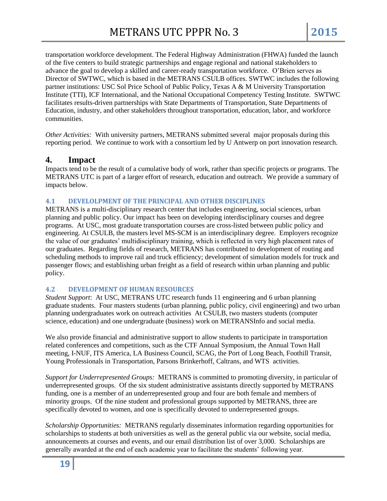transportation workforce development. The Federal Highway Administration (FHWA) funded the launch of the five centers to build strategic partnerships and engage regional and national stakeholders to advance the goal to develop a skilled and career-ready transportation workforce. O'Brien serves as Director of SWTWC, which is based in the METRANS CSULB offices. SWTWC includes the following partner institutions: USC Sol Price School of Public Policy, Texas A & M University Transportation Institute (TTI), ICF International, and the National Occupational Competency Testing Institute. SWTWC facilitates results-driven partnerships with State Departments of Transportation, State Departments of Education, industry, and other stakeholders throughout transportation, education, labor, and workforce communities.

*Other Activities:* With university partners, METRANS submitted several major proposals during this reporting period. We continue to work with a consortium led by U Antwerp on port innovation research.

## **4. Impact**

Impacts tend to be the result of a cumulative body of work, rather than specific projects or programs. The METRANS UTC is part of a larger effort of research, education and outreach. We provide a summary of impacts below.

#### **4.1 DEVELOLPMENT OF THE PRINCIPAL AND OTHER DISCIPLINES**

METRANS is a multi-disciplinary research center that includes engineering, social sciences, urban planning and public policy. Our impact has been on developing interdisciplinary courses and degree programs. At USC, most graduate transportation courses are cross-listed between public policy and engineering. At CSULB, the masters level MS-SCM is an interdisciplinary degree. Employers recognize the value of our graduates' multidisciplinary training, which is reflected in very high placement rates of our graduates. Regarding fields of research, METRANS has contributed to development of routing and scheduling methods to improve rail and truck efficiency; development of simulation models for truck and passenger flows; and establishing urban freight as a field of research within urban planning and public policy.

#### **4.2 DEVELOPMENT OF HUMAN RESOURCES**

*Student Support*:At USC, METRANS UTC research funds 11 engineering and 6 urban planning graduate students.Four masters students (urban planning, public policy, civil engineering) and two urban planning undergraduates work on outreach activitiesAt CSULB, two masters students (computer science, education) and one undergraduate (business) work on METRANSInfo and social media.

We also provide financial and administrative support to allow students to participate in transportation related conferences and competitions, such as the CTF Annual Symposium, the Annual Town Hall meeting, I-NUF, ITS America, LA Business Council, SCAG, the Port of Long Beach, Foothill Transit, Young Professionals in Transportation, Parsons Brinkerhoff, Caltrans, and WTS activities.

*Support for Underrepresented Groups:* METRANS is committed to promoting diversity, in particular of underrepresented groups. Of the six student administrative assistants directly supported by METRANS funding, one is a member of an underrepresented group and four are both female and members of minority groups. Of the nine student and professional groups supported by METRANS, three are specifically devoted to women, and one is specifically devoted to underrepresented groups.

*Scholarship Opportunities:* METRANS regularly disseminates information regarding opportunities for scholarships to students at both universities as well as the general public via our website, social media, announcements at courses and events, and our email distribution list of over 3,000. Scholarships are generally awarded at the end of each academic year to facilitate the students' following year.